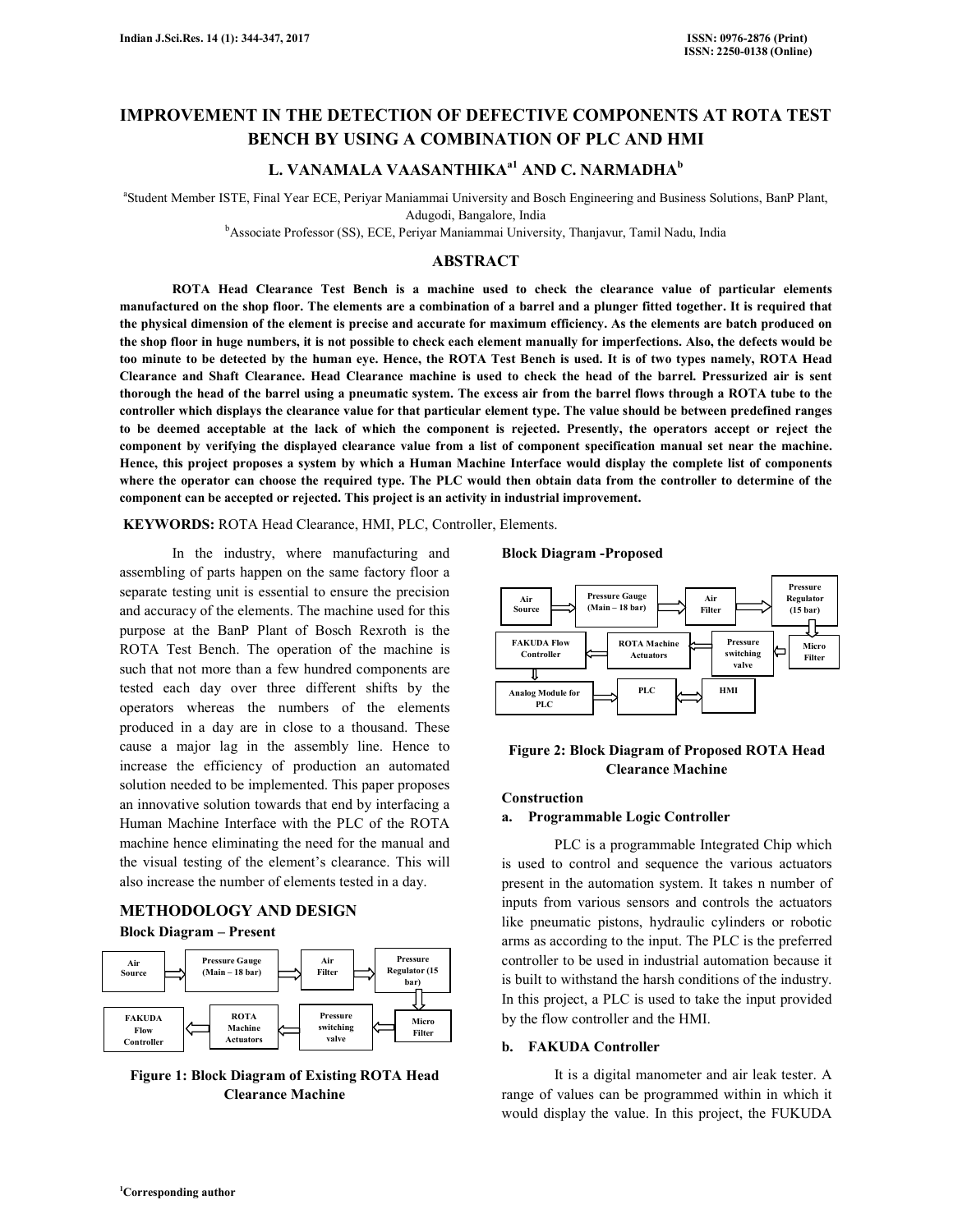# **IMPROVEMENT IN THE DETECTION OF DEFECTIVE COMPONENTS AT ROTA TEST BENCH BY USING A COMBINATION OF PLC AND HMI**

### **L. VANAMALA VAASANTHIKAa1 AND C. NARMADHA<sup>b</sup>**

a Student Member ISTE, Final Year ECE, Periyar Maniammai University and Bosch Engineering and Business Solutions, BanP Plant, Adugodi, Bangalore, India

<sup>b</sup>Associate Professor (SS), ECE, Periyar Maniammai University, Thanjavur, Tamil Nadu, India

### **ABSTRACT**

 **ROTA Head Clearance Test Bench is a machine used to check the clearance value of particular elements manufactured on the shop floor. The elements are a combination of a barrel and a plunger fitted together. It is required that the physical dimension of the element is precise and accurate for maximum efficiency. As the elements are batch produced on the shop floor in huge numbers, it is not possible to check each element manually for imperfections. Also, the defects would be too minute to be detected by the human eye. Hence, the ROTA Test Bench is used. It is of two types namely, ROTA Head Clearance and Shaft Clearance. Head Clearance machine is used to check the head of the barrel. Pressurized air is sent thorough the head of the barrel using a pneumatic system. The excess air from the barrel flows through a ROTA tube to the controller which displays the clearance value for that particular element type. The value should be between predefined ranges to be deemed acceptable at the lack of which the component is rejected. Presently, the operators accept or reject the component by verifying the displayed clearance value from a list of component specification manual set near the machine. Hence, this project proposes a system by which a Human Machine Interface would display the complete list of components where the operator can choose the required type. The PLC would then obtain data from the controller to determine of the component can be accepted or rejected. This project is an activity in industrial improvement.**

 **KEYWORDS:** ROTA Head Clearance, HMI, PLC, Controller, Elements.

 In the industry, where manufacturing and assembling of parts happen on the same factory floor a separate testing unit is essential to ensure the precision and accuracy of the elements. The machine used for this purpose at the BanP Plant of Bosch Rexroth is the ROTA Test Bench. The operation of the machine is such that not more than a few hundred components are tested each day over three different shifts by the operators whereas the numbers of the elements produced in a day are in close to a thousand. These cause a major lag in the assembly line. Hence to increase the efficiency of production an automated solution needed to be implemented. This paper proposes an innovative solution towards that end by interfacing a Human Machine Interface with the PLC of the ROTA machine hence eliminating the need for the manual and the visual testing of the element's clearance. This will also increase the number of elements tested in a day.

### **METHODOLOGY AND DESIGN Block Diagram – Present**



**Figure 1: Block Diagram of Existing ROTA Head Clearance Machine** 

**Block Diagram -Proposed**



### **Figure 2: Block Diagram of Proposed ROTA Head Clearance Machine**

# **Construction**

#### **a. Programmable Logic Controller**

 PLC is a programmable Integrated Chip which is used to control and sequence the various actuators present in the automation system. It takes n number of inputs from various sensors and controls the actuators like pneumatic pistons, hydraulic cylinders or robotic arms as according to the input. The PLC is the preferred controller to be used in industrial automation because it is built to withstand the harsh conditions of the industry. In this project, a PLC is used to take the input provided by the flow controller and the HMI.

#### **b. FAKUDA Controller**

 It is a digital manometer and air leak tester. A range of values can be programmed within in which it would display the value. In this project, the FUKUDA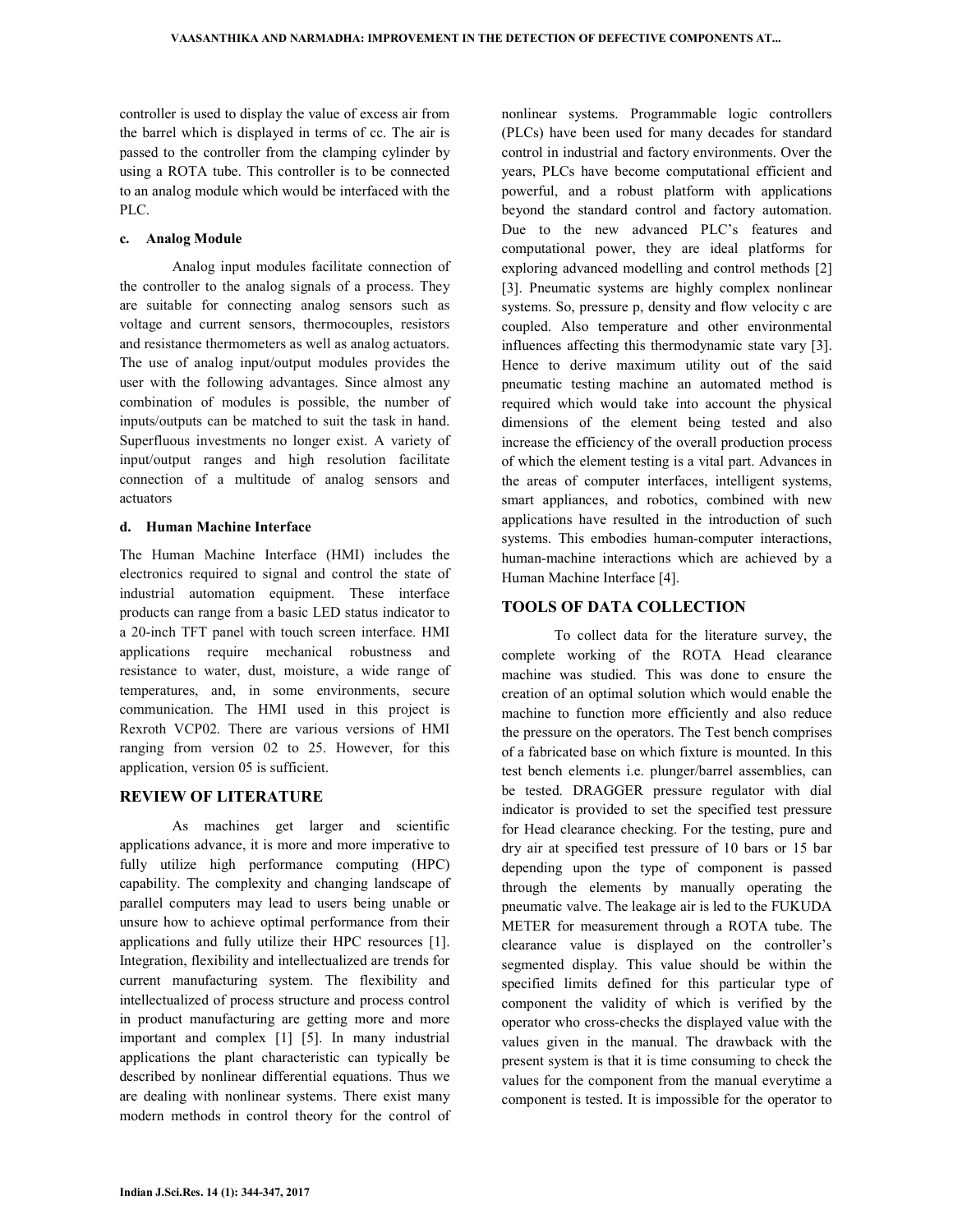controller is used to display the value of excess air from the barrel which is displayed in terms of cc. The air is passed to the controller from the clamping cylinder by using a ROTA tube. This controller is to be connected to an analog module which would be interfaced with the PLC.

#### **c. Analog Module**

 Analog input modules facilitate connection of the controller to the analog signals of a process. They are suitable for connecting analog sensors such as voltage and current sensors, thermocouples, resistors and resistance thermometers as well as analog actuators. The use of analog input/output modules provides the user with the following advantages. Since almost any combination of modules is possible, the number of inputs/outputs can be matched to suit the task in hand. Superfluous investments no longer exist. A variety of input/output ranges and high resolution facilitate connection of a multitude of analog sensors and actuators

#### **d. Human Machine Interface**

The Human Machine Interface (HMI) includes the electronics required to signal and control the state of industrial automation equipment. These interface products can range from a basic LED status indicator to a 20-inch TFT panel with touch screen interface. HMI applications require mechanical robustness and resistance to water, dust, moisture, a wide range of temperatures, and, in some environments, secure communication. The HMI used in this project is Rexroth VCP02. There are various versions of HMI ranging from version 02 to 25. However, for this application, version 05 is sufficient.

### **REVIEW OF LITERATURE**

 As machines get larger and scientific applications advance, it is more and more imperative to fully utilize high performance computing (HPC) capability. The complexity and changing landscape of parallel computers may lead to users being unable or unsure how to achieve optimal performance from their applications and fully utilize their HPC resources [1]. Integration, flexibility and intellectualized are trends for current manufacturing system. The flexibility and intellectualized of process structure and process control in product manufacturing are getting more and more important and complex [1] [5]. In many industrial applications the plant characteristic can typically be described by nonlinear differential equations. Thus we are dealing with nonlinear systems. There exist many modern methods in control theory for the control of nonlinear systems. Programmable logic controllers (PLCs) have been used for many decades for standard control in industrial and factory environments. Over the years, PLCs have become computational efficient and powerful, and a robust platform with applications beyond the standard control and factory automation. Due to the new advanced PLC's features and computational power, they are ideal platforms for exploring advanced modelling and control methods [2] [3]. Pneumatic systems are highly complex nonlinear systems. So, pressure p, density and flow velocity c are coupled. Also temperature and other environmental influences affecting this thermodynamic state vary [3]. Hence to derive maximum utility out of the said pneumatic testing machine an automated method is required which would take into account the physical dimensions of the element being tested and also increase the efficiency of the overall production process of which the element testing is a vital part. Advances in the areas of computer interfaces, intelligent systems, smart appliances, and robotics, combined with new applications have resulted in the introduction of such systems. This embodies human-computer interactions, human-machine interactions which are achieved by a Human Machine Interface [4].

### **TOOLS OF DATA COLLECTION**

 To collect data for the literature survey, the complete working of the ROTA Head clearance machine was studied. This was done to ensure the creation of an optimal solution which would enable the machine to function more efficiently and also reduce the pressure on the operators. The Test bench comprises of a fabricated base on which fixture is mounted. In this test bench elements i.e. plunger/barrel assemblies, can be tested. DRAGGER pressure regulator with dial indicator is provided to set the specified test pressure for Head clearance checking. For the testing, pure and dry air at specified test pressure of 10 bars or 15 bar depending upon the type of component is passed through the elements by manually operating the pneumatic valve. The leakage air is led to the FUKUDA METER for measurement through a ROTA tube. The clearance value is displayed on the controller's segmented display. This value should be within the specified limits defined for this particular type of component the validity of which is verified by the operator who cross-checks the displayed value with the values given in the manual. The drawback with the present system is that it is time consuming to check the values for the component from the manual everytime a component is tested. It is impossible for the operator to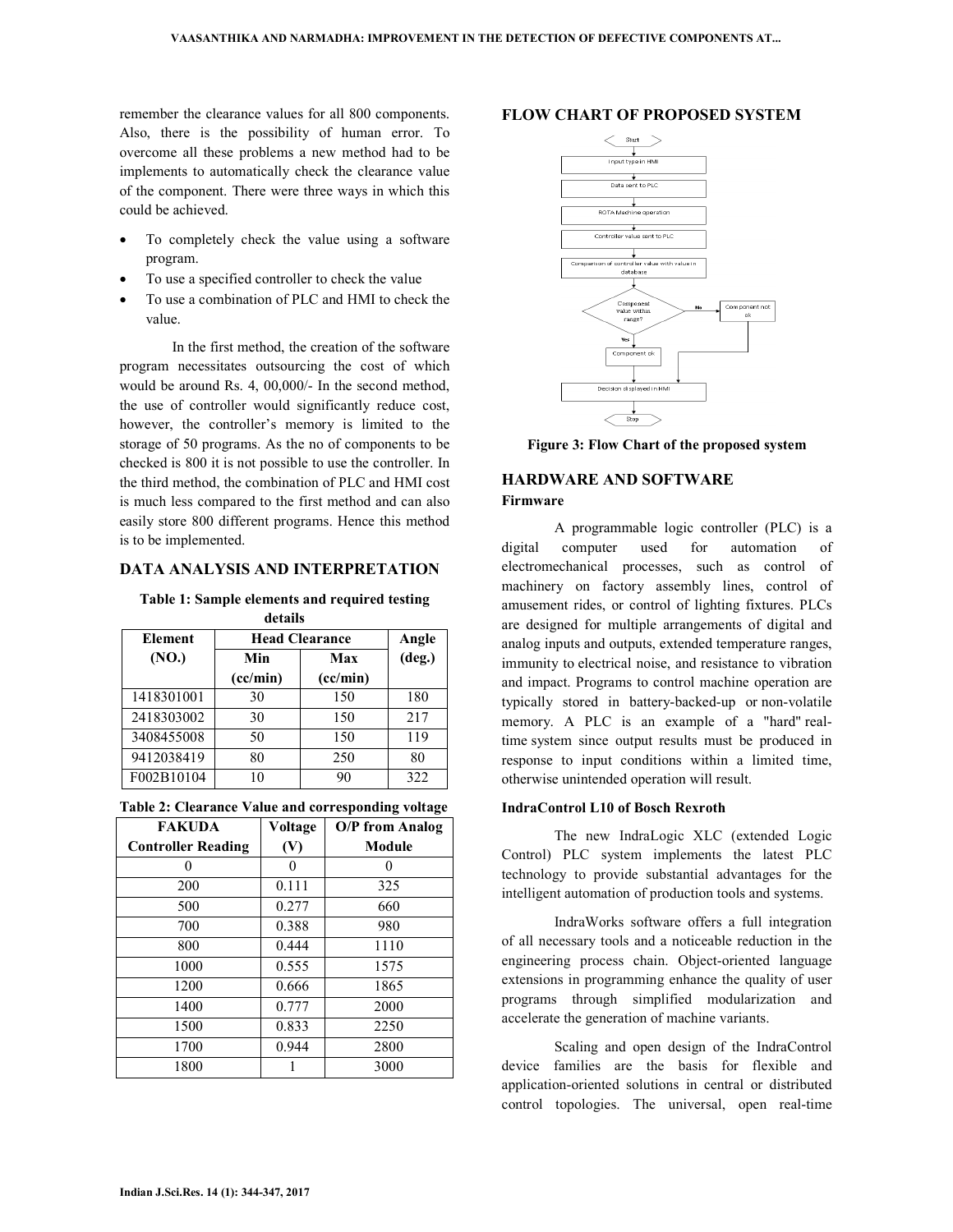remember the clearance values for all 800 components. Also, there is the possibility of human error. To overcome all these problems a new method had to be implements to automatically check the clearance value of the component. There were three ways in which this could be achieved.

- To completely check the value using a software program.
- To use a specified controller to check the value
- To use a combination of PLC and HMI to check the value.

 In the first method, the creation of the software program necessitates outsourcing the cost of which would be around Rs. 4, 00,000/- In the second method, the use of controller would significantly reduce cost, however, the controller's memory is limited to the storage of 50 programs. As the no of components to be checked is 800 it is not possible to use the controller. In the third method, the combination of PLC and HMI cost is much less compared to the first method and can also easily store 800 different programs. Hence this method is to be implemented.

### **DATA ANALYSIS AND INTERPRETATION**

**Table 1: Sample elements and required testing details** 

| Element    | <b>Head Clearance</b> | Angle    |                 |  |  |  |  |
|------------|-----------------------|----------|-----------------|--|--|--|--|
| (NO.)      | Min                   | Max      | $(\text{deg.})$ |  |  |  |  |
|            | (cc/min)              | (cc/min) |                 |  |  |  |  |
| 1418301001 | 30                    | 150      | 180             |  |  |  |  |
| 2418303002 | 30                    | 150      | 217             |  |  |  |  |
| 3408455008 | 50                    | 150      | 119             |  |  |  |  |
| 9412038419 | 80                    | 250      | 80              |  |  |  |  |
| F002B10104 | 10                    | 90       | 322             |  |  |  |  |

| Table 2: Clearance Value and corresponding voltage |  |  |  |  |  |  |
|----------------------------------------------------|--|--|--|--|--|--|
|----------------------------------------------------|--|--|--|--|--|--|

| <b>FAKUDA</b>             | Voltage | <b>O/P</b> from Analog |
|---------------------------|---------|------------------------|
| <b>Controller Reading</b> | (V)     | <b>Module</b>          |
|                           |         | 0                      |
| 200                       | 0.111   | 325                    |
| 500                       | 0.277   | 660                    |
| 700                       | 0.388   | 980                    |
| 800                       | 0.444   | 1110                   |
| 1000                      | 0.555   | 1575                   |
| 1200                      | 0.666   | 1865                   |
| 1400                      | 0.777   | 2000                   |
| 1500                      | 0.833   | 2250                   |
| 1700                      | 0.944   | 2800                   |
| 1800                      |         | 3000                   |

#### **FLOW CHART OF PROPOSED SYSTEM**



**Figure 3: Flow Chart of the proposed system**

## **HARDWARE AND SOFTWARE Firmware**

 A programmable logic controller (PLC) is a digital computer used for automation of electromechanical processes, such as control of machinery on factory assembly lines, control of amusement rides, or control of lighting fixtures. PLCs are designed for multiple arrangements of digital and analog inputs and outputs, extended temperature ranges, immunity to electrical noise, and resistance to vibration and impact. Programs to control machine operation are typically stored in battery-backed-up or non-volatile memory. A PLC is an example of a "hard" realtime system since output results must be produced in response to input conditions within a limited time, otherwise unintended operation will result.

#### **IndraControl L10 of Bosch Rexroth**

 The new IndraLogic XLC (extended Logic Control) PLC system implements the latest PLC technology to provide substantial advantages for the intelligent automation of production tools and systems.

 IndraWorks software offers a full integration of all necessary tools and a noticeable reduction in the engineering process chain. Object-oriented language extensions in programming enhance the quality of user programs through simplified modularization and accelerate the generation of machine variants.

 Scaling and open design of the IndraControl device families are the basis for flexible and application-oriented solutions in central or distributed control topologies. The universal, open real-time